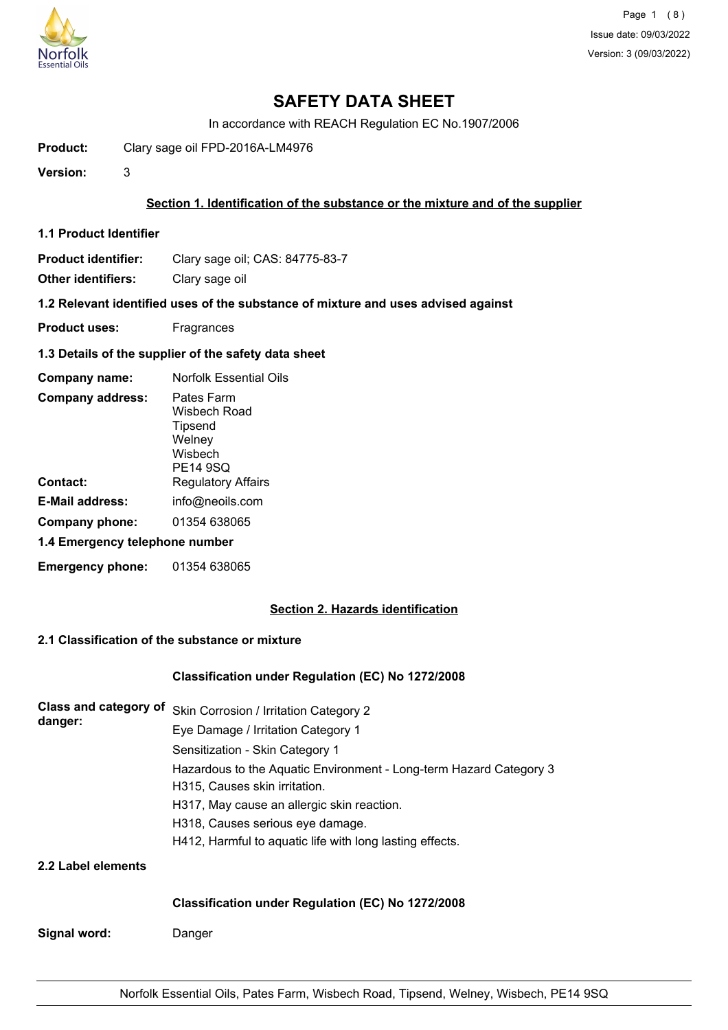

# **SAFETY DATA SHEET**

In accordance with REACH Regulation EC No.1907/2006

**Product:** Clary sage oil FPD-2016A-LM4976

**Version:** 3

### **Section 1. Identification of the substance or the mixture and of the supplier**

**1.1 Product Identifier**

**Product identifier:** Clary sage oil; CAS: 84775-83-7

**Other identifiers:** Clary sage oil

**1.2 Relevant identified uses of the substance of mixture and uses advised against**

- **Product uses:** Fragrances
- **1.3 Details of the supplier of the safety data sheet**

| Company name:                  | <b>Norfolk Essential Oils</b>                                          |
|--------------------------------|------------------------------------------------------------------------|
| <b>Company address:</b>        | Pates Farm<br>Wisbech Road<br>Tipsend<br>Welney<br>Wisbech<br>PE14 9SQ |
| Contact:                       | <b>Regulatory Affairs</b>                                              |
| E-Mail address:                | info@neoils.com                                                        |
| Company phone:                 | 01354 638065                                                           |
| 1.4 Emergency telephone number |                                                                        |
| <b>Emergency phone:</b>        | 01354 638065                                                           |

## **Section 2. Hazards identification**

## **2.1 Classification of the substance or mixture**

#### **Classification under Regulation (EC) No 1272/2008**

| Class and category of | Skin Corrosion / Irritation Category 2                             |
|-----------------------|--------------------------------------------------------------------|
| danger:               | Eye Damage / Irritation Category 1                                 |
|                       | Sensitization - Skin Category 1                                    |
|                       | Hazardous to the Aquatic Environment - Long-term Hazard Category 3 |
|                       | H315, Causes skin irritation.                                      |
|                       | H317, May cause an allergic skin reaction.                         |
|                       | H318, Causes serious eye damage.                                   |
|                       | H412, Harmful to aquatic life with long lasting effects.           |
| 2.2 Label elements    |                                                                    |
|                       | <b>Classification under Regulation (EC) No 1272/2008</b>           |

**Signal word:** Danger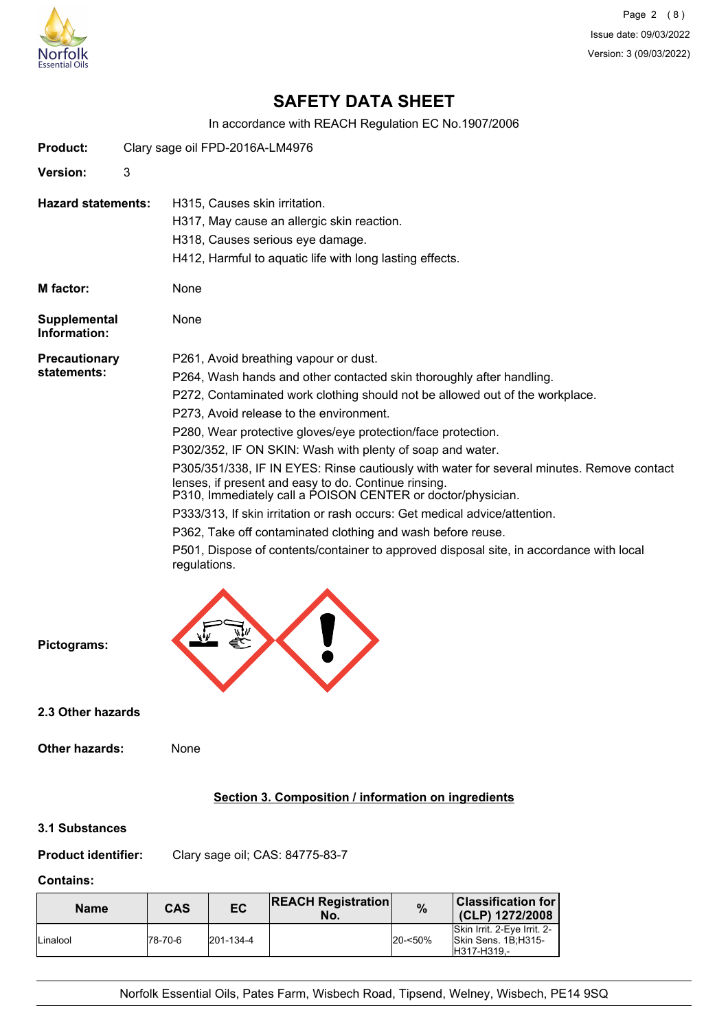

Page 2 (8) Issue date: 09/03/2022 Version: 3 (09/03/2022)

# **SAFETY DATA SHEET**

In accordance with REACH Regulation EC No.1907/2006

| <b>Product:</b>                     |   | Clary sage oil FPD-2016A-LM4976                                                                                                                                                                                                                                                                                                                                                                                                                                                                                                                                                                                                                                                                                                                                                                                                                   |
|-------------------------------------|---|---------------------------------------------------------------------------------------------------------------------------------------------------------------------------------------------------------------------------------------------------------------------------------------------------------------------------------------------------------------------------------------------------------------------------------------------------------------------------------------------------------------------------------------------------------------------------------------------------------------------------------------------------------------------------------------------------------------------------------------------------------------------------------------------------------------------------------------------------|
| <b>Version:</b>                     | 3 |                                                                                                                                                                                                                                                                                                                                                                                                                                                                                                                                                                                                                                                                                                                                                                                                                                                   |
| <b>Hazard statements:</b>           |   | H315, Causes skin irritation.<br>H317, May cause an allergic skin reaction.<br>H318, Causes serious eye damage.<br>H412, Harmful to aquatic life with long lasting effects.                                                                                                                                                                                                                                                                                                                                                                                                                                                                                                                                                                                                                                                                       |
| M factor:                           |   | None                                                                                                                                                                                                                                                                                                                                                                                                                                                                                                                                                                                                                                                                                                                                                                                                                                              |
| <b>Supplemental</b><br>Information: |   | None                                                                                                                                                                                                                                                                                                                                                                                                                                                                                                                                                                                                                                                                                                                                                                                                                                              |
| <b>Precautionary</b><br>statements: |   | P261, Avoid breathing vapour or dust.<br>P264, Wash hands and other contacted skin thoroughly after handling.<br>P272, Contaminated work clothing should not be allowed out of the workplace.<br>P273, Avoid release to the environment.<br>P280, Wear protective gloves/eye protection/face protection.<br>P302/352, IF ON SKIN: Wash with plenty of soap and water.<br>P305/351/338, IF IN EYES: Rinse cautiously with water for several minutes. Remove contact<br>lenses, if present and easy to do. Continue rinsing.<br>P310, Immediately call a POISON CENTER or doctor/physician.<br>P333/313, If skin irritation or rash occurs: Get medical advice/attention.<br>P362, Take off contaminated clothing and wash before reuse.<br>P501, Dispose of contents/container to approved disposal site, in accordance with local<br>regulations. |
| Pictograms:                         |   |                                                                                                                                                                                                                                                                                                                                                                                                                                                                                                                                                                                                                                                                                                                                                                                                                                                   |
| 2.3 Other hazards                   |   |                                                                                                                                                                                                                                                                                                                                                                                                                                                                                                                                                                                                                                                                                                                                                                                                                                                   |
| <b>Other hazards:</b>               |   | None                                                                                                                                                                                                                                                                                                                                                                                                                                                                                                                                                                                                                                                                                                                                                                                                                                              |
|                                     |   | Section 3. Composition / information on ingredients                                                                                                                                                                                                                                                                                                                                                                                                                                                                                                                                                                                                                                                                                                                                                                                               |
|                                     |   |                                                                                                                                                                                                                                                                                                                                                                                                                                                                                                                                                                                                                                                                                                                                                                                                                                                   |

#### **3.1 Substances**

**Product identifier:** Clary sage oil; CAS: 84775-83-7

## **Contains:**

| <b>Name</b> | CAS      | EC                | <b>REACH Registration</b><br>No. | $\%$       | <b>Classification for</b><br>(CLP) 1272/2008                      |
|-------------|----------|-------------------|----------------------------------|------------|-------------------------------------------------------------------|
| Linalool    | 178-70-6 | $ 201 - 134 - 4 $ |                                  | $20 - 50%$ | Skin Irrit, 2-Eve Irrit, 2-<br>Skin Sens. 1B:H315-<br>H317-H319.- |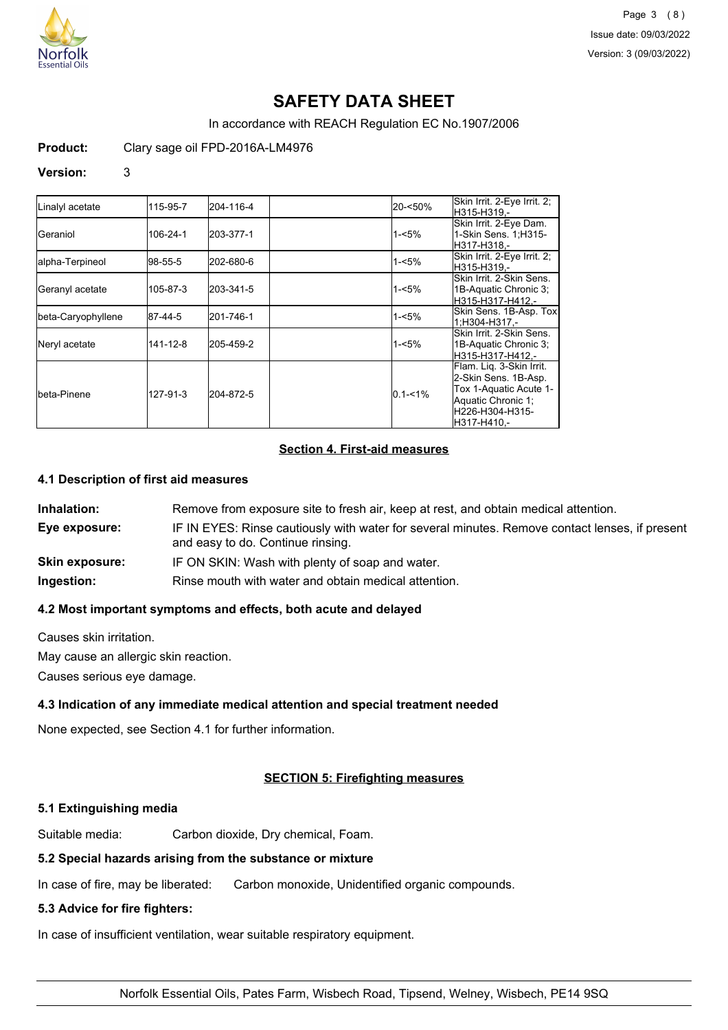

# **SAFETY DATA SHEET**

In accordance with REACH Regulation EC No.1907/2006

**Product:** Clary sage oil FPD-2016A-LM4976

#### **Version:** 3

| Linalyl acetate    | 115-95-7 | 204-116-4 | 20-<50%     | Skin Irrit. 2-Eye Irrit. 2;<br>H315-H319.-                                                                                         |
|--------------------|----------|-----------|-------------|------------------------------------------------------------------------------------------------------------------------------------|
| <b>I</b> Geraniol  | 106-24-1 | 203-377-1 | 1-<5%       | Skin Irrit. 2-Eye Dam.<br>1-Skin Sens. 1; H315-<br>H317-H318.-                                                                     |
| alpha-Terpineol    | 98-55-5  | 202-680-6 | 1-<5%       | Skin Irrit. 2-Eye Irrit. 2;<br>H315-H319.-                                                                                         |
| Geranyl acetate    | 105-87-3 | 203-341-5 | 1-<5%       | Skin Irrit, 2-Skin Sens.<br>1B-Aquatic Chronic 3;<br>H315-H317-H412.-                                                              |
| beta-Caryophyllene | 87-44-5  | 201-746-1 | 1-<5%       | Skin Sens. 1B-Asp. Tox<br>1:H304-H317.-                                                                                            |
| Neryl acetate      | 141-12-8 | 205-459-2 | 1-<5%       | Skin Irrit, 2-Skin Sens.<br>1B-Aquatic Chronic 3;<br>H315-H317-H412.-                                                              |
| Ibeta-Pinene       | 127-91-3 | 204-872-5 | $0.1 - 1\%$ | Flam. Liq. 3-Skin Irrit.<br>2-Skin Sens. 1B-Asp.<br>Tox 1-Aquatic Acute 1-<br>Aquatic Chronic 1:<br>H226-H304-H315-<br>H317-H410.- |

## **Section 4. First-aid measures**

#### **4.1 Description of first aid measures**

| Inhalation:           | Remove from exposure site to fresh air, keep at rest, and obtain medical attention.                                                 |
|-----------------------|-------------------------------------------------------------------------------------------------------------------------------------|
| Eye exposure:         | IF IN EYES: Rinse cautiously with water for several minutes. Remove contact lenses, if present<br>and easy to do. Continue rinsing. |
| <b>Skin exposure:</b> | IF ON SKIN: Wash with plenty of soap and water.                                                                                     |
| Ingestion:            | Rinse mouth with water and obtain medical attention.                                                                                |

### **4.2 Most important symptoms and effects, both acute and delayed**

Causes skin irritation.

May cause an allergic skin reaction.

Causes serious eye damage.

## **4.3 Indication of any immediate medical attention and special treatment needed**

None expected, see Section 4.1 for further information.

## **SECTION 5: Firefighting measures**

#### **5.1 Extinguishing media**

Suitable media: Carbon dioxide, Dry chemical, Foam.

#### **5.2 Special hazards arising from the substance or mixture**

In case of fire, may be liberated: Carbon monoxide, Unidentified organic compounds.

#### **5.3 Advice for fire fighters:**

In case of insufficient ventilation, wear suitable respiratory equipment.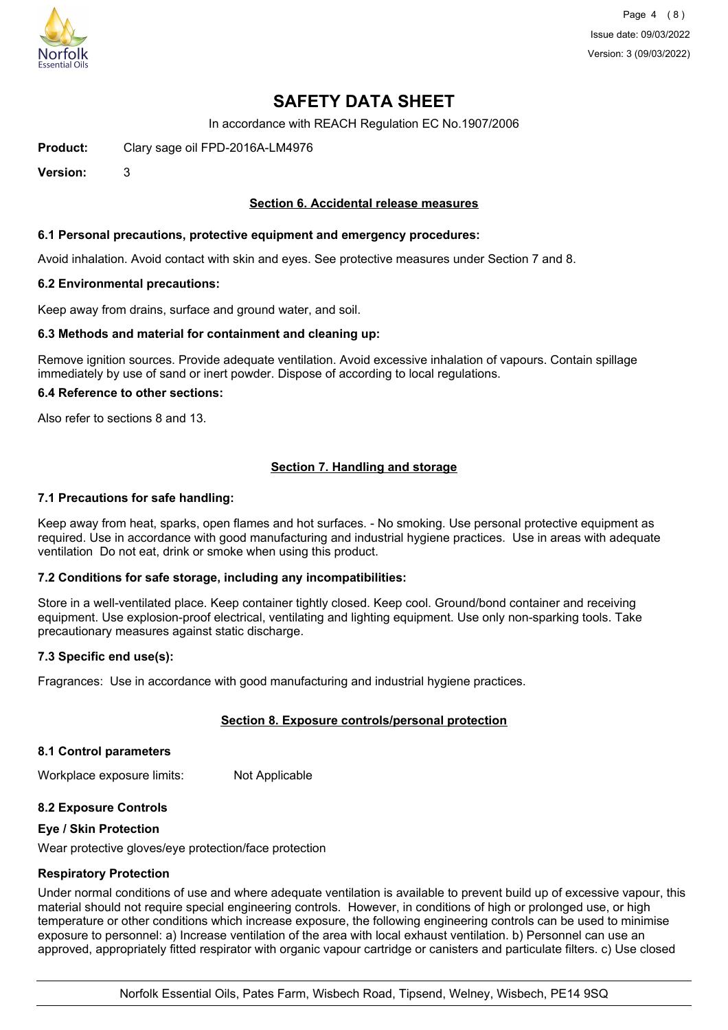

# **SAFETY DATA SHEET**

In accordance with REACH Regulation EC No.1907/2006

**Product:** Clary sage oil FPD-2016A-LM4976

**Version:** 3

### **Section 6. Accidental release measures**

#### **6.1 Personal precautions, protective equipment and emergency procedures:**

Avoid inhalation. Avoid contact with skin and eyes. See protective measures under Section 7 and 8.

#### **6.2 Environmental precautions:**

Keep away from drains, surface and ground water, and soil.

#### **6.3 Methods and material for containment and cleaning up:**

Remove ignition sources. Provide adequate ventilation. Avoid excessive inhalation of vapours. Contain spillage immediately by use of sand or inert powder. Dispose of according to local regulations.

#### **6.4 Reference to other sections:**

Also refer to sections 8 and 13.

## **Section 7. Handling and storage**

#### **7.1 Precautions for safe handling:**

Keep away from heat, sparks, open flames and hot surfaces. - No smoking. Use personal protective equipment as required. Use in accordance with good manufacturing and industrial hygiene practices. Use in areas with adequate ventilation Do not eat, drink or smoke when using this product.

#### **7.2 Conditions for safe storage, including any incompatibilities:**

Store in a well-ventilated place. Keep container tightly closed. Keep cool. Ground/bond container and receiving equipment. Use explosion-proof electrical, ventilating and lighting equipment. Use only non-sparking tools. Take precautionary measures against static discharge.

#### **7.3 Specific end use(s):**

Fragrances: Use in accordance with good manufacturing and industrial hygiene practices.

## **Section 8. Exposure controls/personal protection**

#### **8.1 Control parameters**

Workplace exposure limits: Not Applicable

#### **8.2 Exposure Controls**

#### **Eye / Skin Protection**

Wear protective gloves/eye protection/face protection

#### **Respiratory Protection**

Under normal conditions of use and where adequate ventilation is available to prevent build up of excessive vapour, this material should not require special engineering controls. However, in conditions of high or prolonged use, or high temperature or other conditions which increase exposure, the following engineering controls can be used to minimise exposure to personnel: a) Increase ventilation of the area with local exhaust ventilation. b) Personnel can use an approved, appropriately fitted respirator with organic vapour cartridge or canisters and particulate filters. c) Use closed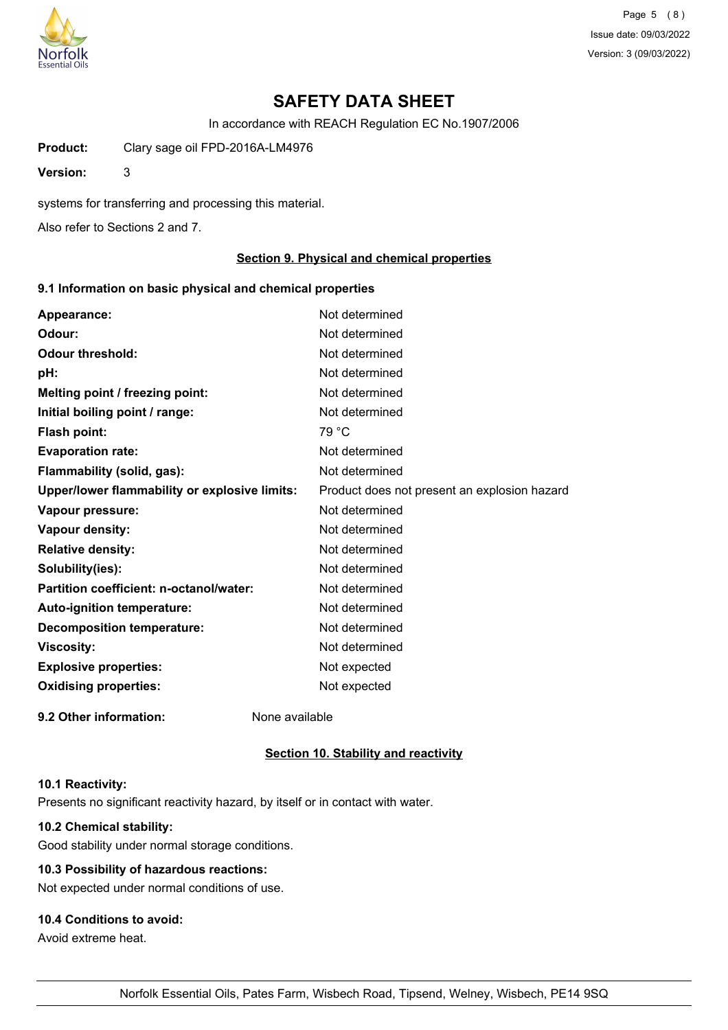

Page 5 (8) Issue date: 09/03/2022 Version: 3 (09/03/2022)

# **SAFETY DATA SHEET**

In accordance with REACH Regulation EC No.1907/2006

**Product:** Clary sage oil FPD-2016A-LM4976

**Version:** 3

systems for transferring and processing this material.

Also refer to Sections 2 and 7.

#### **Section 9. Physical and chemical properties**

### **9.1 Information on basic physical and chemical properties**

| Appearance:                                   | Not determined                               |
|-----------------------------------------------|----------------------------------------------|
| Odour:                                        | Not determined                               |
| <b>Odour threshold:</b>                       | Not determined                               |
| pH:                                           | Not determined                               |
| Melting point / freezing point:               | Not determined                               |
| Initial boiling point / range:                | Not determined                               |
| <b>Flash point:</b>                           | 79 °C                                        |
| <b>Evaporation rate:</b>                      | Not determined                               |
| Flammability (solid, gas):                    | Not determined                               |
| Upper/lower flammability or explosive limits: | Product does not present an explosion hazard |
| Vapour pressure:                              | Not determined                               |
| Vapour density:                               | Not determined                               |
| <b>Relative density:</b>                      | Not determined                               |
| Solubility(ies):                              | Not determined                               |
| Partition coefficient: n-octanol/water:       | Not determined                               |
| Auto-ignition temperature:                    | Not determined                               |
| <b>Decomposition temperature:</b>             | Not determined                               |
| <b>Viscosity:</b>                             | Not determined                               |
| <b>Explosive properties:</b>                  | Not expected                                 |
| <b>Oxidising properties:</b>                  | Not expected                                 |
| 9.2 Other information:                        | None available                               |

#### **Section 10. Stability and reactivity**

#### **10.1 Reactivity:**

Presents no significant reactivity hazard, by itself or in contact with water.

## **10.2 Chemical stability:**

Good stability under normal storage conditions.

## **10.3 Possibility of hazardous reactions:**

Not expected under normal conditions of use.

## **10.4 Conditions to avoid:**

Avoid extreme heat.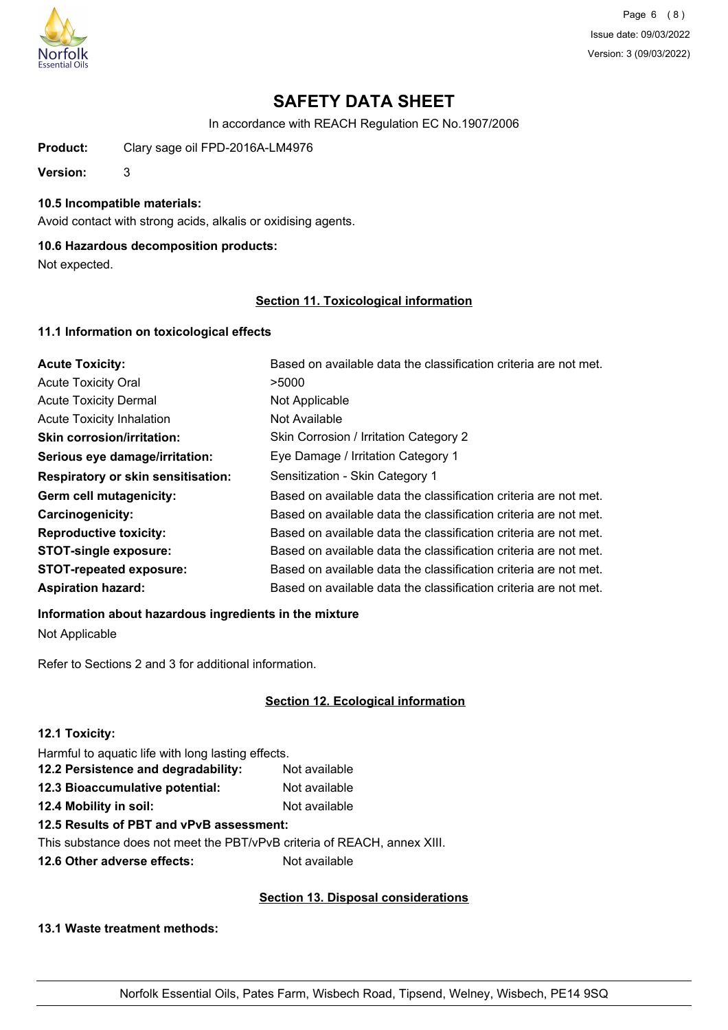

Page 6 (8) Issue date: 09/03/2022 Version: 3 (09/03/2022)

# **SAFETY DATA SHEET**

In accordance with REACH Regulation EC No.1907/2006

**Product:** Clary sage oil FPD-2016A-LM4976

**Version:** 3

## **10.5 Incompatible materials:**

Avoid contact with strong acids, alkalis or oxidising agents.

## **10.6 Hazardous decomposition products:**

Not expected.

### **Section 11. Toxicological information**

### **11.1 Information on toxicological effects**

| <b>Acute Toxicity:</b>                    | Based on available data the classification criteria are not met. |
|-------------------------------------------|------------------------------------------------------------------|
| <b>Acute Toxicity Oral</b>                | >5000                                                            |
| <b>Acute Toxicity Dermal</b>              | Not Applicable                                                   |
| <b>Acute Toxicity Inhalation</b>          | Not Available                                                    |
| <b>Skin corrosion/irritation:</b>         | Skin Corrosion / Irritation Category 2                           |
| Serious eye damage/irritation:            | Eye Damage / Irritation Category 1                               |
| <b>Respiratory or skin sensitisation:</b> | Sensitization - Skin Category 1                                  |
| Germ cell mutagenicity:                   | Based on available data the classification criteria are not met. |
| <b>Carcinogenicity:</b>                   | Based on available data the classification criteria are not met. |
| <b>Reproductive toxicity:</b>             | Based on available data the classification criteria are not met. |
| <b>STOT-single exposure:</b>              | Based on available data the classification criteria are not met. |
| <b>STOT-repeated exposure:</b>            | Based on available data the classification criteria are not met. |
| <b>Aspiration hazard:</b>                 | Based on available data the classification criteria are not met. |

#### **Information about hazardous ingredients in the mixture**

Not Applicable

Refer to Sections 2 and 3 for additional information.

## **Section 12. Ecological information**

| 12.1 Toxicity:                                     |               |
|----------------------------------------------------|---------------|
| Harmful to aquatic life with long lasting effects. |               |
| 12.2 Persistence and degradability:                | Not available |
| 12.3 Bioaccumulative potential:                    | Not available |
| 12.4 Mobility in soil:                             | Not available |
| 12.5 Results of PBT and vPvB assessment:           |               |
|                                                    |               |

This substance does not meet the PBT/vPvB criteria of REACH, annex XIII.

**12.6 Other adverse effects:** Not available

## **Section 13. Disposal considerations**

## **13.1 Waste treatment methods:**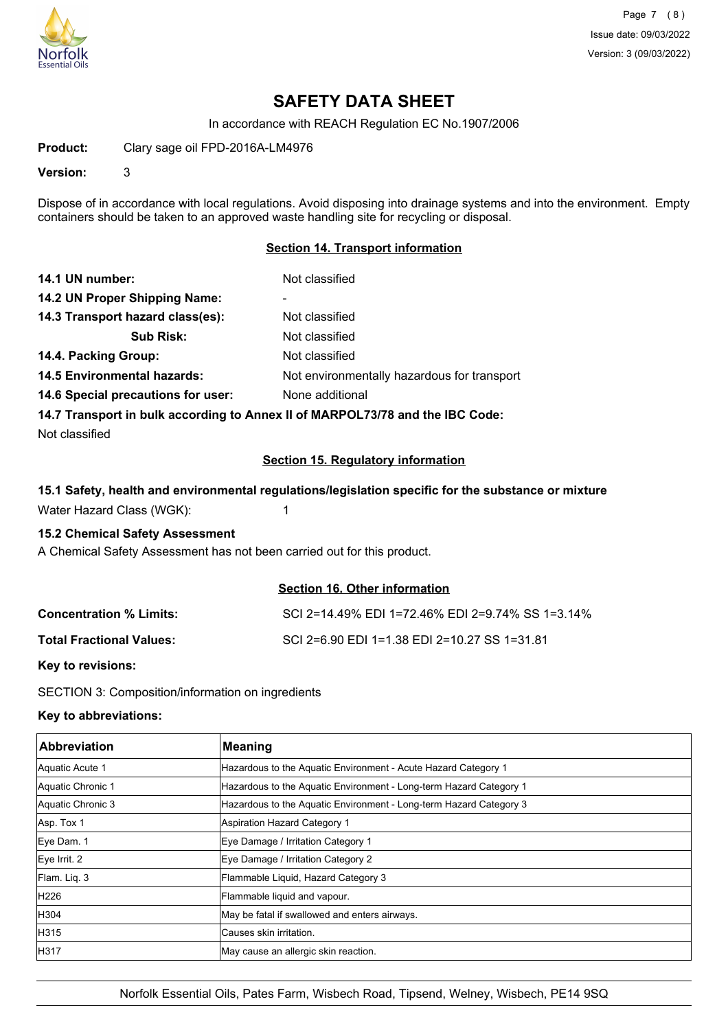

Page 7 (8) Issue date: 09/03/2022 Version: 3 (09/03/2022)

## **SAFETY DATA SHEET**

In accordance with REACH Regulation EC No.1907/2006

**Product:** Clary sage oil FPD-2016A-LM4976

**Version:** 3

Dispose of in accordance with local regulations. Avoid disposing into drainage systems and into the environment. Empty containers should be taken to an approved waste handling site for recycling or disposal.

### **Section 14. Transport information**

| 14.1 UN number:                                                               | Not classified                              |  |
|-------------------------------------------------------------------------------|---------------------------------------------|--|
| 14.2 UN Proper Shipping Name:                                                 |                                             |  |
| 14.3 Transport hazard class(es):                                              | Not classified                              |  |
| <b>Sub Risk:</b>                                                              | Not classified                              |  |
| 14.4. Packing Group:                                                          | Not classified                              |  |
| <b>14.5 Environmental hazards:</b>                                            | Not environmentally hazardous for transport |  |
| 14.6 Special precautions for user:                                            | None additional                             |  |
| 14.7 Transport in bulk according to Annex II of MARPOL73/78 and the IBC Code: |                                             |  |

Not classified

### **Section 15. Regulatory information**

#### **15.1 Safety, health and environmental regulations/legislation specific for the substance or mixture**

Water Hazard Class (WGK): 1

### **15.2 Chemical Safety Assessment**

A Chemical Safety Assessment has not been carried out for this product.

### **Section 16. Other information**

| <b>Concentration % Limits:</b>  | SCI 2=14.49% EDI 1=72.46% EDI 2=9.74% SS 1=3.14% |
|---------------------------------|--------------------------------------------------|
| <b>Total Fractional Values:</b> | SCI 2=6.90 EDI 1=1.38 EDI 2=10.27 SS 1=31.81     |

**Key to revisions:**

SECTION 3: Composition/information on ingredients

## **Key to abbreviations:**

| <b>Abbreviation</b> | <b>Meaning</b>                                                     |
|---------------------|--------------------------------------------------------------------|
| Aquatic Acute 1     | Hazardous to the Aquatic Environment - Acute Hazard Category 1     |
| Aquatic Chronic 1   | Hazardous to the Aquatic Environment - Long-term Hazard Category 1 |
| Aquatic Chronic 3   | Hazardous to the Aquatic Environment - Long-term Hazard Category 3 |
| Asp. Tox 1          | Aspiration Hazard Category 1                                       |
| Eye Dam. 1          | Eye Damage / Irritation Category 1                                 |
| $Eye$ Irrit. 2      | Eye Damage / Irritation Category 2                                 |
| Flam. Liq. 3        | Flammable Liquid, Hazard Category 3                                |
| H <sub>226</sub>    | Flammable liquid and vapour.                                       |
| H304                | May be fatal if swallowed and enters airways.                      |
| H315                | Causes skin irritation.                                            |
| H317                | May cause an allergic skin reaction.                               |